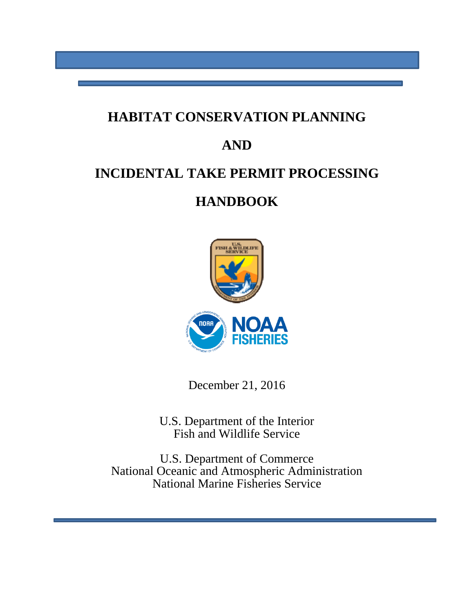### **HABITAT CONSERVATION PLANNING**

### **AND**

# **INCIDENTAL TAKE PERMIT PROCESSING**

# **HANDBOOK**



December 21, 2016

U.S. Department of the Interior Fish and Wildlife Service

U.S. Department of Commerce National Oceanic and Atmospheric Administration National Marine Fisheries Service